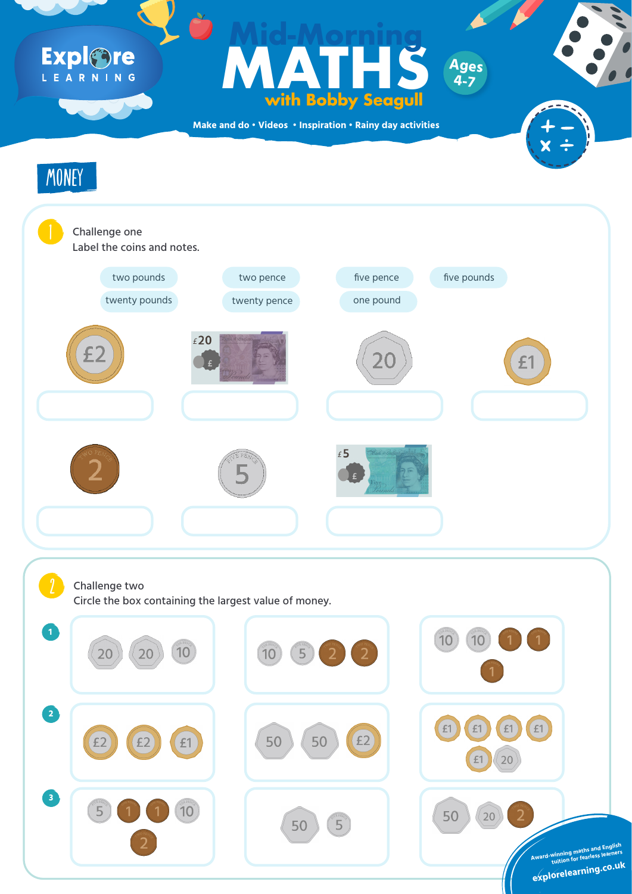**Make and do • Videos • Inspiration • Rainy day activities**

### Challenge one Label the coins and notes.

# Expl<br>Gre

### **Ages**<br>With Bobby Seagull<br>and do · Videos · Inspiration · Rainy day activities **with Bobby Seagull Mid-Morning Ages 4-7**



#### Challenge two









Circle the box containing the largest value of money.